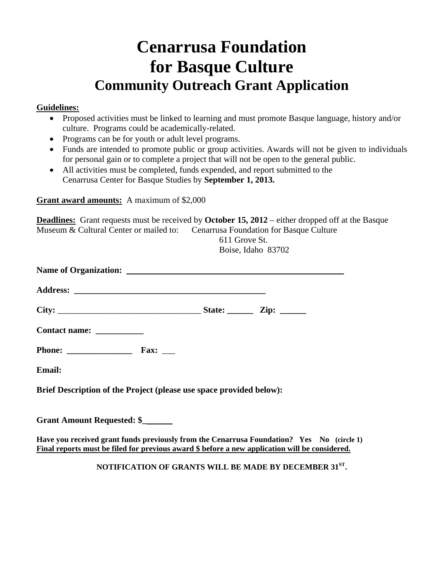## **Cenarrusa Foundation for Basque Culture Community Outreach Grant Application**

## **Guidelines:**

- Proposed activities must be linked to learning and must promote Basque language, history and/or culture. Programs could be academically-related.
- Programs can be for youth or adult level programs.
- Funds are intended to promote public or group activities. Awards will not be given to individuals for personal gain or to complete a project that will not be open to the general public.
- All activities must be completed, funds expended, and report submitted to the Cenarrusa Center for Basque Studies by **September 1, 2013.**

**Grant award amounts:** A maximum of \$2,000

**Deadlines:** Grant requests must be received by **October 15, 2012** – either dropped off at the Basque Museum & Cultural Center or mailed to: Cenarrusa Foundation for Basque Culture

> 611 Grove St. Boise, Idaho 83702

| Contact name: ____________                                          |  |  |
|---------------------------------------------------------------------|--|--|
|                                                                     |  |  |
| <b>Email:</b>                                                       |  |  |
| Brief Description of the Project (please use space provided below): |  |  |
| Grant Amount Requested: \$                                          |  |  |
|                                                                     |  |  |

Have you received grant funds previously from the Cenarrusa Foundation? Yes No (circle 1) **Final reports must be filed for previous award \$ before a new application will be considered.** 

**NOTIFICATION OF GRANTS WILL BE MADE BY DECEMBER 31ST.**